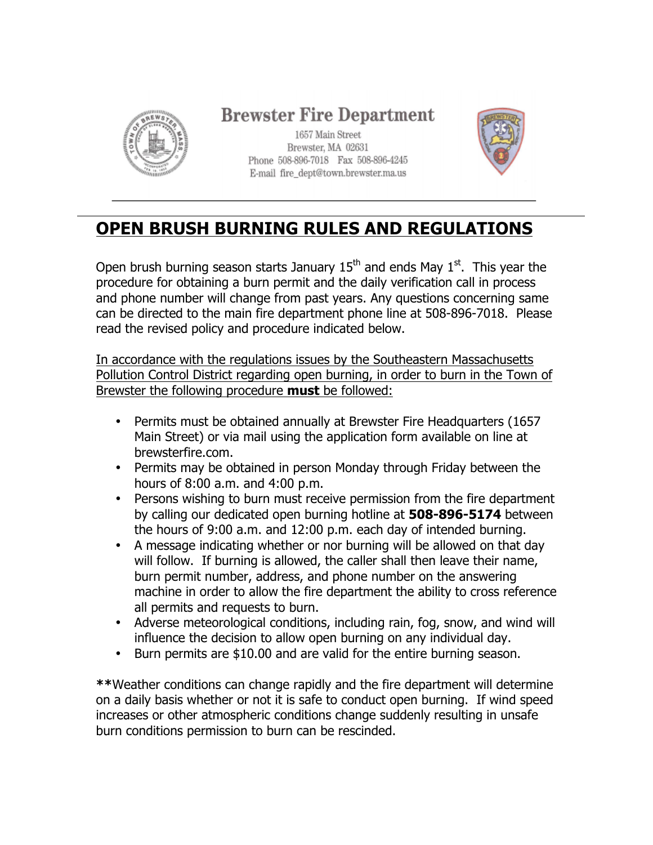

### **Brewster Fire Department**

1657 Main Street Brewster, MA 02631 Phone 508-896-7018 Fax 508-896-4245 E-mail fire\_dept@town.brewster.ma.us



# **OPEN BRUSH BURNING RULES AND REGULATIONS**

Open brush burning season starts January  $15<sup>th</sup>$  and ends May  $1<sup>st</sup>$ . This year the procedure for obtaining a burn permit and the daily verification call in process and phone number will change from past years. Any questions concerning same can be directed to the main fire department phone line at 508-896-7018. Please read the revised policy and procedure indicated below.

In accordance with the regulations issues by the Southeastern Massachusetts Pollution Control District regarding open burning, in order to burn in the Town of Brewster the following procedure **must** be followed:

- Permits must be obtained annually at Brewster Fire Headquarters (1657 Main Street) or via mail using the application form available on line at brewsterfire.com.
- Permits may be obtained in person Monday through Friday between the hours of 8:00 a.m. and 4:00 p.m.
- Persons wishing to burn must receive permission from the fire department by calling our dedicated open burning hotline at **508-896-5174** between the hours of 9:00 a.m. and 12:00 p.m. each day of intended burning.
- A message indicating whether or nor burning will be allowed on that day will follow. If burning is allowed, the caller shall then leave their name, burn permit number, address, and phone number on the answering machine in order to allow the fire department the ability to cross reference all permits and requests to burn.
- Adverse meteorological conditions, including rain, fog, snow, and wind will influence the decision to allow open burning on any individual day.
- Burn permits are \$10.00 and are valid for the entire burning season.

**\*\***Weather conditions can change rapidly and the fire department will determine on a daily basis whether or not it is safe to conduct open burning. If wind speed increases or other atmospheric conditions change suddenly resulting in unsafe burn conditions permission to burn can be rescinded.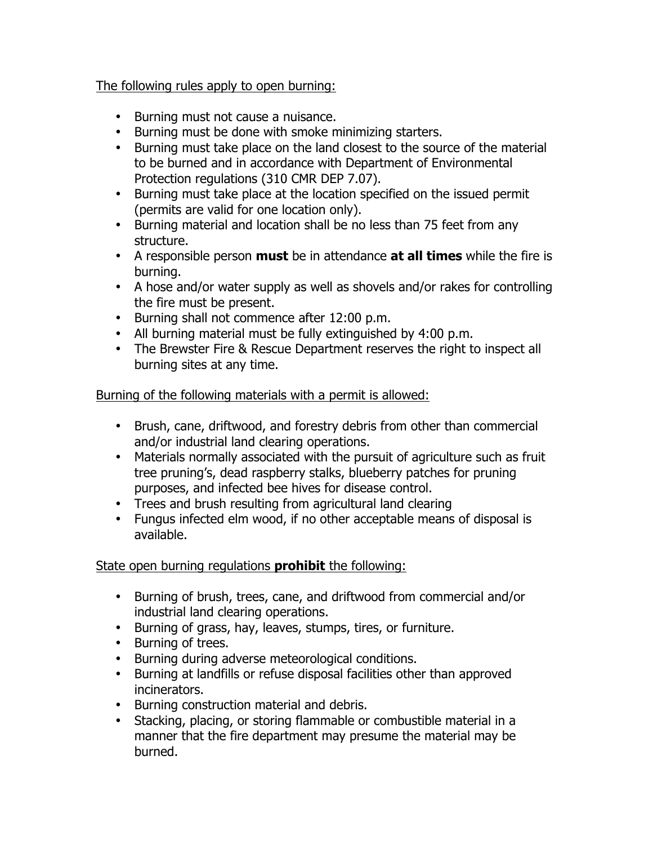### The following rules apply to open burning:

- Burning must not cause a nuisance.
- Burning must be done with smoke minimizing starters.
- Burning must take place on the land closest to the source of the material to be burned and in accordance with Department of Environmental Protection regulations (310 CMR DEP 7.07).
- Burning must take place at the location specified on the issued permit (permits are valid for one location only).
- Burning material and location shall be no less than 75 feet from any structure.
- A responsible person **must** be in attendance **at all times** while the fire is burning.
- A hose and/or water supply as well as shovels and/or rakes for controlling the fire must be present.
- Burning shall not commence after 12:00 p.m.
- All burning material must be fully extinguished by 4:00 p.m.
- The Brewster Fire & Rescue Department reserves the right to inspect all burning sites at any time.

Burning of the following materials with a permit is allowed:

- Brush, cane, driftwood, and forestry debris from other than commercial and/or industrial land clearing operations.
- Materials normally associated with the pursuit of agriculture such as fruit tree pruning's, dead raspberry stalks, blueberry patches for pruning purposes, and infected bee hives for disease control.
- Trees and brush resulting from agricultural land clearing
- Fungus infected elm wood, if no other acceptable means of disposal is available.

State open burning regulations **prohibit** the following:

- Burning of brush, trees, cane, and driftwood from commercial and/or industrial land clearing operations.
- Burning of grass, hay, leaves, stumps, tires, or furniture.
- Burning of trees.
- Burning during adverse meteorological conditions.
- Burning at landfills or refuse disposal facilities other than approved incinerators.
- Burning construction material and debris.
- Stacking, placing, or storing flammable or combustible material in a manner that the fire department may presume the material may be burned.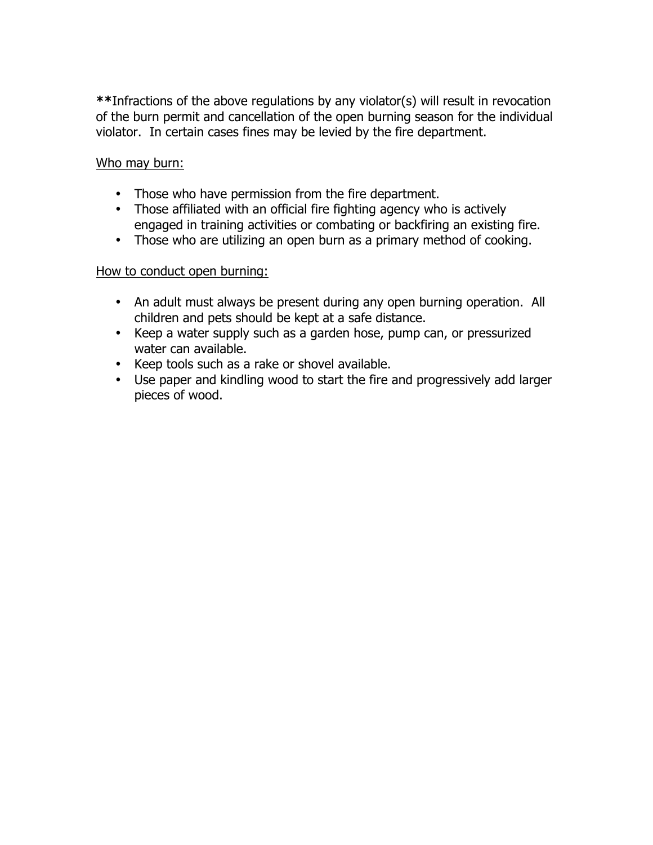**\*\***Infractions of the above regulations by any violator(s) will result in revocation of the burn permit and cancellation of the open burning season for the individual violator. In certain cases fines may be levied by the fire department.

#### Who may burn:

- Those who have permission from the fire department.
- Those affiliated with an official fire fighting agency who is actively engaged in training activities or combating or backfiring an existing fire.
- Those who are utilizing an open burn as a primary method of cooking.

#### How to conduct open burning:

- An adult must always be present during any open burning operation. All children and pets should be kept at a safe distance.
- Keep a water supply such as a garden hose, pump can, or pressurized water can available.
- Keep tools such as a rake or shovel available.
- Use paper and kindling wood to start the fire and progressively add larger pieces of wood.